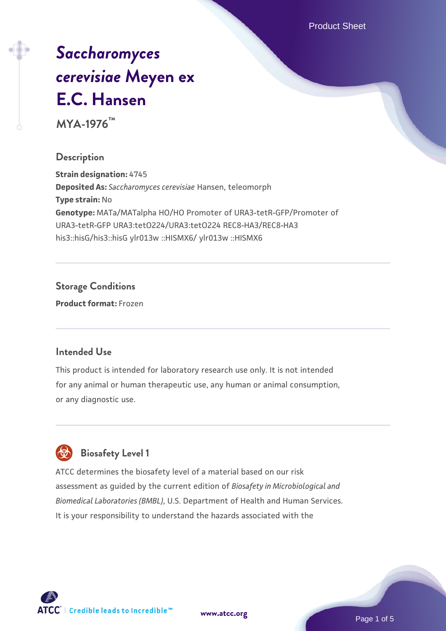Product Sheet

# *[Saccharomyces](https://www.atcc.org/products/mya-1976) [cerevisiae](https://www.atcc.org/products/mya-1976)* **[Meyen ex](https://www.atcc.org/products/mya-1976) [E.C. Hansen](https://www.atcc.org/products/mya-1976)**

**MYA-1976™**

### **Description**

**Strain designation:** 4745 **Deposited As:** *Saccharomyces cerevisiae* Hansen, teleomorph **Type strain:** No **Genotype:** MATa/MATalpha HO/HO Promoter of URA3-tetR-GFP/Promoter of URA3-tetR-GFP URA3:tetO224/URA3:tetO224 REC8-HA3/REC8-HA3 his3::hisG/his3::hisG ylr013w ::HISMX6/ ylr013w ::HISMX6

# **Storage Conditions**

**Product format:** Frozen

#### **Intended Use**

This product is intended for laboratory research use only. It is not intended for any animal or human therapeutic use, any human or animal consumption, or any diagnostic use.



# **Biosafety Level 1**

ATCC determines the biosafety level of a material based on our risk assessment as guided by the current edition of *Biosafety in Microbiological and Biomedical Laboratories (BMBL)*, U.S. Department of Health and Human Services. It is your responsibility to understand the hazards associated with the

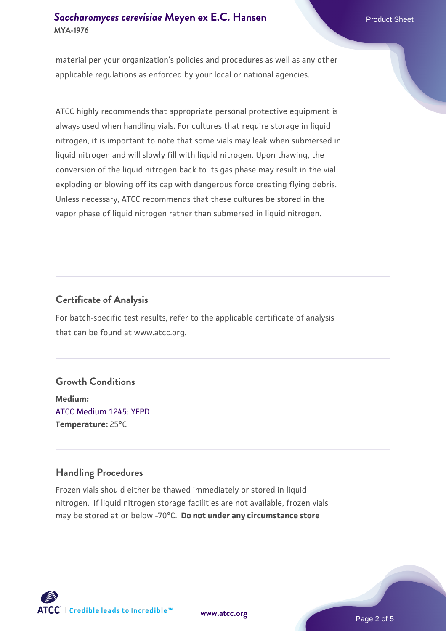# **[Saccharomyces cerevisiae](https://www.atcc.org/products/mya-1976)** [Meyen ex E.C. Hansen](https://www.atcc.org/products/mya-1976) **MYA-1976**

material per your organization's policies and procedures as well as any other applicable regulations as enforced by your local or national agencies.

ATCC highly recommends that appropriate personal protective equipment is always used when handling vials. For cultures that require storage in liquid nitrogen, it is important to note that some vials may leak when submersed in liquid nitrogen and will slowly fill with liquid nitrogen. Upon thawing, the conversion of the liquid nitrogen back to its gas phase may result in the vial exploding or blowing off its cap with dangerous force creating flying debris. Unless necessary, ATCC recommends that these cultures be stored in the vapor phase of liquid nitrogen rather than submersed in liquid nitrogen.

# **Certificate of Analysis**

For batch-specific test results, refer to the applicable certificate of analysis that can be found at www.atcc.org.

#### **Growth Conditions**

**Medium:**  [ATCC Medium 1245: YEPD](https://www.atcc.org/-/media/product-assets/documents/microbial-media-formulations/1/2/4/5/atcc-medium-1245.pdf?rev=705ca55d1b6f490a808a965d5c072196) **Temperature:** 25°C

# **Handling Procedures**

Frozen vials should either be thawed immediately or stored in liquid nitrogen. If liquid nitrogen storage facilities are not available, frozen vials may be stored at or below -70°C. **Do not under any circumstance store**



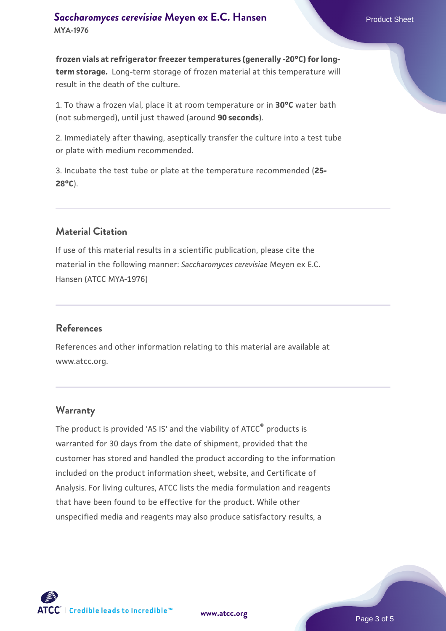**frozen vials at refrigerator freezer temperatures (generally -20°C) for longterm storage.** Long-term storage of frozen material at this temperature will result in the death of the culture.

1. To thaw a frozen vial, place it at room temperature or in **30°C** water bath (not submerged), until just thawed (around **90 seconds**).

2. Immediately after thawing, aseptically transfer the culture into a test tube or plate with medium recommended.

3. Incubate the test tube or plate at the temperature recommended (**25- 28°C**).

# **Material Citation**

If use of this material results in a scientific publication, please cite the material in the following manner: *Saccharomyces cerevisiae* Meyen ex E.C. Hansen (ATCC MYA-1976)

#### **References**

References and other information relating to this material are available at www.atcc.org.

#### **Warranty**

The product is provided 'AS IS' and the viability of ATCC® products is warranted for 30 days from the date of shipment, provided that the customer has stored and handled the product according to the information included on the product information sheet, website, and Certificate of Analysis. For living cultures, ATCC lists the media formulation and reagents that have been found to be effective for the product. While other unspecified media and reagents may also produce satisfactory results, a

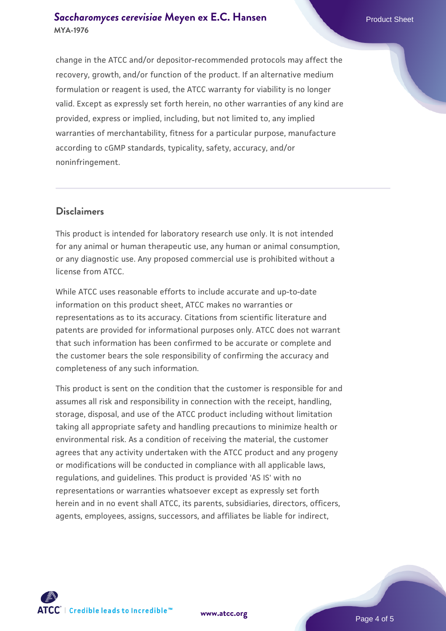### **[Saccharomyces cerevisiae](https://www.atcc.org/products/mya-1976)** [Meyen ex E.C. Hansen](https://www.atcc.org/products/mya-1976) **MYA-1976**

change in the ATCC and/or depositor-recommended protocols may affect the recovery, growth, and/or function of the product. If an alternative medium formulation or reagent is used, the ATCC warranty for viability is no longer valid. Except as expressly set forth herein, no other warranties of any kind are provided, express or implied, including, but not limited to, any implied warranties of merchantability, fitness for a particular purpose, manufacture according to cGMP standards, typicality, safety, accuracy, and/or noninfringement.

#### **Disclaimers**

This product is intended for laboratory research use only. It is not intended for any animal or human therapeutic use, any human or animal consumption, or any diagnostic use. Any proposed commercial use is prohibited without a license from ATCC.

While ATCC uses reasonable efforts to include accurate and up-to-date information on this product sheet, ATCC makes no warranties or representations as to its accuracy. Citations from scientific literature and patents are provided for informational purposes only. ATCC does not warrant that such information has been confirmed to be accurate or complete and the customer bears the sole responsibility of confirming the accuracy and completeness of any such information.

This product is sent on the condition that the customer is responsible for and assumes all risk and responsibility in connection with the receipt, handling, storage, disposal, and use of the ATCC product including without limitation taking all appropriate safety and handling precautions to minimize health or environmental risk. As a condition of receiving the material, the customer agrees that any activity undertaken with the ATCC product and any progeny or modifications will be conducted in compliance with all applicable laws, regulations, and guidelines. This product is provided 'AS IS' with no representations or warranties whatsoever except as expressly set forth herein and in no event shall ATCC, its parents, subsidiaries, directors, officers, agents, employees, assigns, successors, and affiliates be liable for indirect,